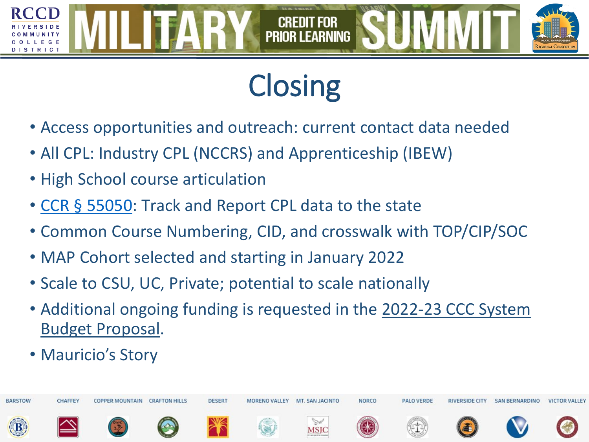# **Closing**

**PRIOR LEARNING** 

- Access opportunities and outreach: current contact data needed
- All CPL: Industry CPL (NCCRS) and Apprenticeship (IBEW)
- High School course articulation
- CCR § [55050:](https://govt.westlaw.com/calregs/Document/IAE7881A8C3ED4DD3B4F2194E32E06B23?transitionType=Default&contextData=(sc.Default)) Track and Report CPL data to the state
- Common Course Numbering, CID, and crosswalk with TOP/CIP/SOC
- MAP Cohort selected and starting in January 2022
- Scale to CSU, UC, Private; potential to scale nationally
- [Additional ongoing funding is requested in the 2022-23 CCC System](https://www.cccco.edu/-/media/CCCCO-Website/College-Finance-and-Facilities/Budget-News/September-2021/2022-23-System-Budget-Request_For-BOG-Approval.pdf?la=en&hash=4525AB014B58512FFA28BFA888F3642D8A221A17)  Budget Proposal.
- Mauricio's Story

TRICT

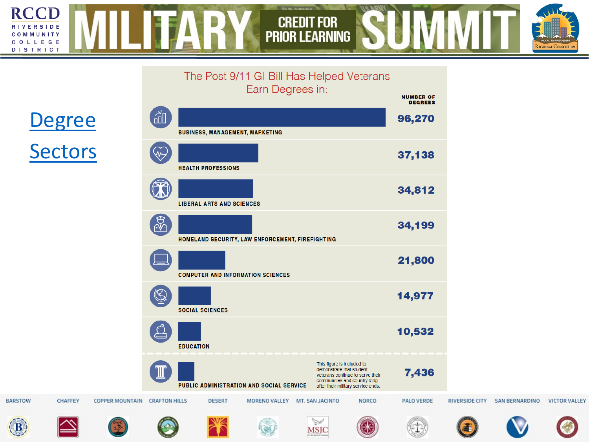#### **RCCD TITAL STATE** OA OII **CREDIT FOR<br>PRIOR LEARNING** RIVERSIDE<br>COMMUNITY<br>COLLEGE<br>DISTRICT

 $\mathcal{L}^{\text{max}}$ 

REGIONAL CONSORTIUM

|                |                |                        |                                                                   |                                  | The Post 9/11 GI Bill Has Helped Veterans<br>Earn Degrees in: |                             |                                                                                                                                                                  | <b>NUMBER OF</b><br><b>DEGREES</b> |                       |                       |                      |
|----------------|----------------|------------------------|-------------------------------------------------------------------|----------------------------------|---------------------------------------------------------------|-----------------------------|------------------------------------------------------------------------------------------------------------------------------------------------------------------|------------------------------------|-----------------------|-----------------------|----------------------|
|                | <b>Degree</b>  |                        |                                                                   |                                  | <b>BUSINESS, MANAGEMENT, MARKETING</b>                        |                             |                                                                                                                                                                  | 96,270                             |                       |                       |                      |
| <b>Sectors</b> |                |                        | Ѡ<br><b>HEALTH PROFESSIONS</b>                                    |                                  |                                                               |                             |                                                                                                                                                                  | 37,138                             |                       |                       |                      |
|                |                |                        | $\mathbf{\Omega}$                                                 | <b>LIBERAL ARTS AND SCIENCES</b> |                                                               |                             |                                                                                                                                                                  | 34,812                             |                       |                       |                      |
|                |                |                        | $\frac{1}{2}$<br>HOMELAND SECURITY, LAW ENFORCEMENT, FIREFIGHTING |                                  |                                                               |                             |                                                                                                                                                                  | 34,199                             |                       |                       |                      |
|                |                |                        |                                                                   |                                  | <b>COMPUTER AND INFORMATION SCIENCES</b>                      |                             |                                                                                                                                                                  | 21,800                             |                       |                       |                      |
|                |                |                        | $\mathbb{G}$                                                      | <b>SOCIAL SCIENCES</b>           |                                                               |                             |                                                                                                                                                                  | 14,977                             |                       |                       |                      |
|                |                |                        |                                                                   | <b>EDUCATION</b>                 |                                                               |                             |                                                                                                                                                                  | 10,532                             |                       |                       |                      |
|                |                |                        |                                                                   |                                  | PUBLIC ADMINISTRATION AND SOCIAL SERVICE                      |                             | This figure is included to<br>demonstrate that student<br>veterans continue to serve their<br>communities and country long<br>after their military service ends. | 7,436                              |                       |                       |                      |
| <b>BARSTOW</b> | <b>CHAFFEY</b> | <b>COPPER MOUNTAIN</b> | <b>CRAFTON HILLS</b>                                              | <b>DESERT</b>                    | MORENO VALLEY MT. SAN JACINTO                                 |                             | <b>NORCO</b>                                                                                                                                                     | <b>PALO VERDE</b>                  | <b>RIVERSIDE CITY</b> | <b>SAN BERNARDINO</b> | <b>VICTOR VALLEY</b> |
| <b>B</b>       |                |                        |                                                                   |                                  |                                                               | $\mathbb{Z}$<br><b>MSJC</b> |                                                                                                                                                                  |                                    |                       |                       |                      |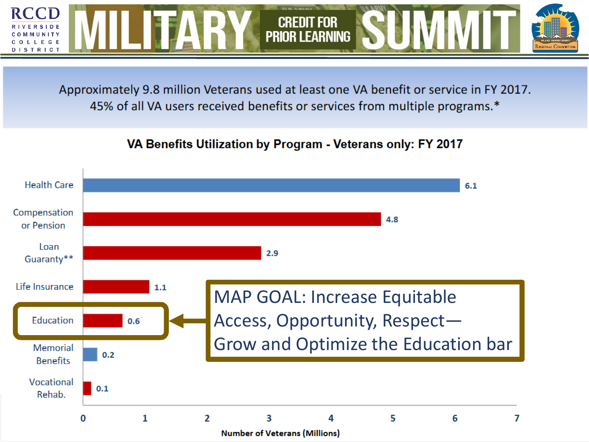

Approximately 9.8 million Veterans used at least one VA benefit or service in FY 2017. 45% of all VA users received benefits or services from multiple programs.\*

#### VA Benefits Utilization by Program - Veterans only: FY 2017

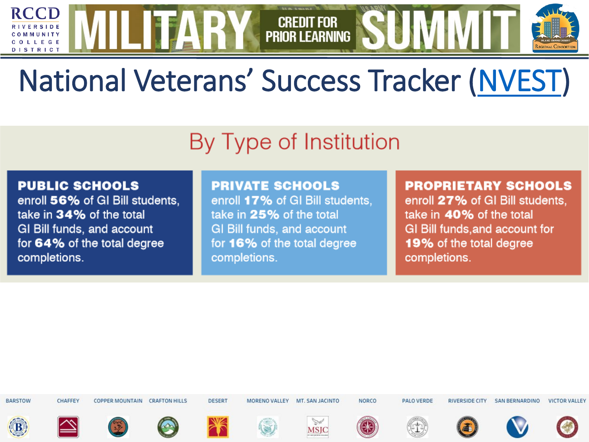## National Veterans' Success Tracker (NVEST)

**CREDIT FOR PRIOR LEARNING** 

### By Type of Institution

#### **PUBLIC SCHOOLS**

**RCCD** 

LLEGE DISTRICT

> enroll 56% of GI Bill students. take in 34% of the total GI Bill funds, and account for 64% of the total degree completions.

#### **PRIVATE SCHOOLS**

enroll 17% of GI Bill students, take in 25% of the total **GI Bill funds, and account** for 16% of the total degree completions.

#### **PROPRIETARY SCHOOLS**

enroll 27% of GI Bill students. take in 40% of the total GI Bill funds, and account for 19% of the total degree completions.

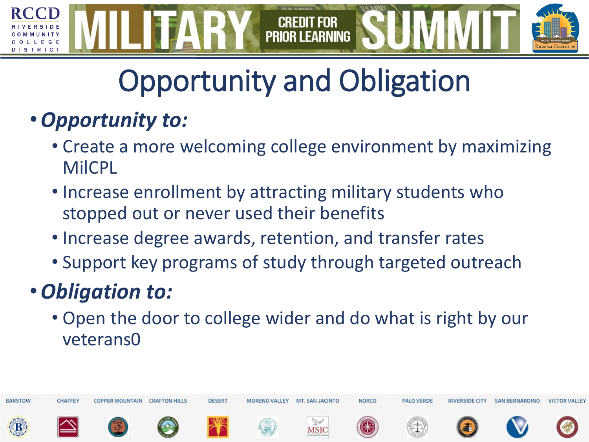

# Opportunity and Obligation

### •*Opportunity to:*

- Create a more welcoming college environment by maximizing MilCPL
- Increase enrollment by attracting military students who stopped out or never used their benefits
- Increase degree awards, retention, and transfer rates
- Support key programs of study through targeted outreach

### •*Obligation to:*

• Open the door to college wider and do what is right by our veterans0

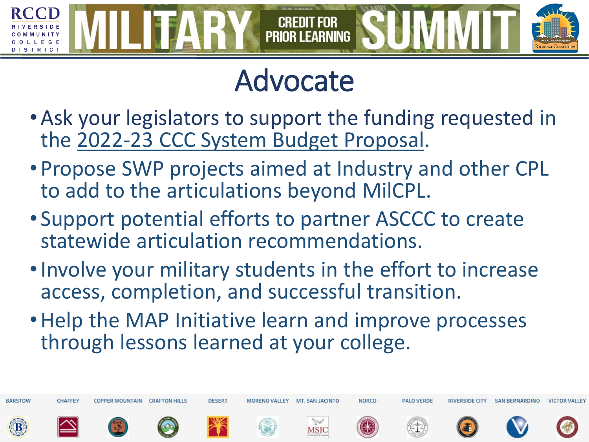

## Advocate

- •Ask your legislators to support the funding requested in the [2022-23 CCC System Budget Proposal.](https://www.cccco.edu/-/media/CCCCO-Website/College-Finance-and-Facilities/Budget-News/September-2021/2022-23-System-Budget-Request_For-BOG-Approval.pdf?la=en&hash=4525AB014B58512FFA28BFA888F3642D8A221A17)
- Propose SWP projects aimed at Industry and other CPL to add to the articulations beyond MilCPL.
- Support potential efforts to partner ASCCC to create statewide articulation recommendations.
- •Involve your military students in the effort to increase access, completion, and successful transition.
- •Help the MAP Initiative learn and improve processes through lessons learned at your college.

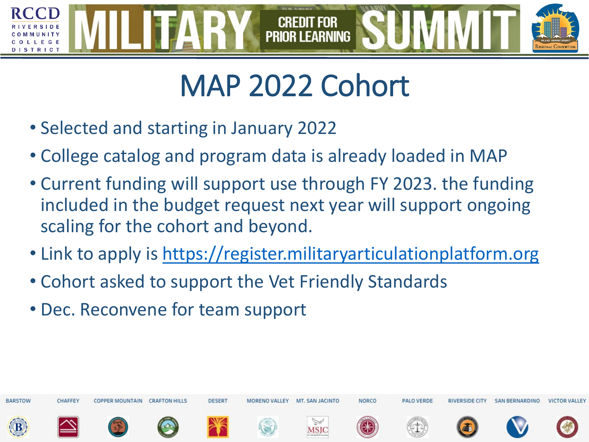

## MAP 2022 Cohort

- Selected and starting in January 2022
- College catalog and program data is already loaded in MAP
- Current funding will support use through FY 2023. the funding included in the budget request next year will support ongoing scaling for the cohort and beyond.
- Link to apply is [https://register.militaryarticulationplatform.org](https://register.militaryarticulationplatform.org/)
- Cohort asked to support the Vet Friendly Standards
- Dec. Reconvene for team support

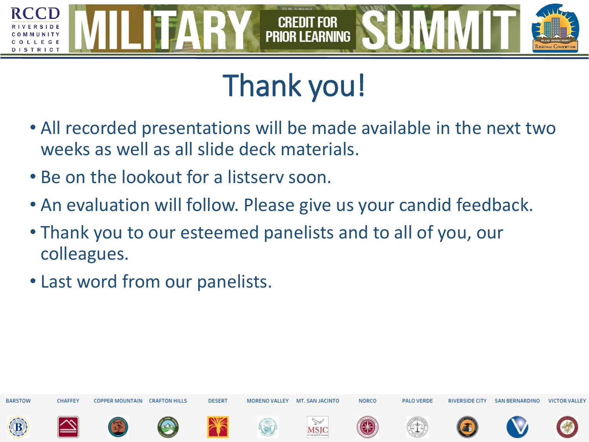

# Thank you!

- All recorded presentations will be made available in the next two weeks as well as all slide deck materials.
- Be on the lookout for a listserv soon.
- An evaluation will follow. Please give us your candid feedback.
- Thank you to our esteemed panelists and to all of you, our colleagues.
- Last word from our panelists.

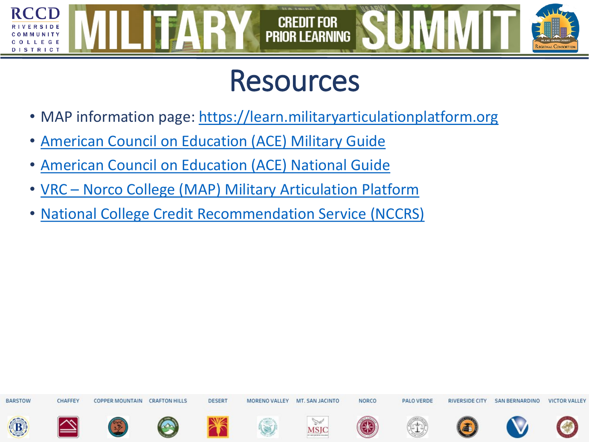

### Resources

- MAP information page: [https://learn.militaryarticulationplatform.org](https://learn.militaryarticulationplatform.org/)
- [American Council on Education \(ACE\) Military Guide](https://www.acenet.edu/Programs-Services/Pages/Credit-Transcripts/Military-Guide-Online.aspx)
- [American Council on Education \(ACE\) National Guide](https://www.acenet.edu/National-Guide/Pages/default.aspx)
- VRC [Norco College \(MAP\) Military Articulation Platform](https://www.norcocollege.edu/services/enrollment/vrc/Pages/map.aspx)
- [National College Credit Recommendation Service \(NCCRS\)](http://www.nationalccrs.org/course-credit-directory)